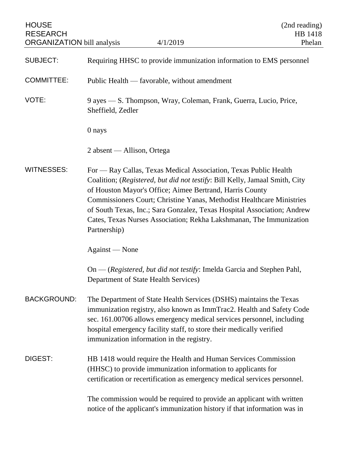| <b>HOUSE</b><br><b>RESEARCH</b><br><b>ORGANIZATION</b> bill analysis | 4/1/2019                                                                                                                                                                                                                                                                                                                                                                                                                                               | (2nd reading)<br>HB 1418<br>Phelan |
|----------------------------------------------------------------------|--------------------------------------------------------------------------------------------------------------------------------------------------------------------------------------------------------------------------------------------------------------------------------------------------------------------------------------------------------------------------------------------------------------------------------------------------------|------------------------------------|
| <b>SUBJECT:</b>                                                      | Requiring HHSC to provide immunization information to EMS personnel                                                                                                                                                                                                                                                                                                                                                                                    |                                    |
| <b>COMMITTEE:</b>                                                    | Public Health — favorable, without amendment                                                                                                                                                                                                                                                                                                                                                                                                           |                                    |
| VOTE:                                                                | 9 ayes — S. Thompson, Wray, Coleman, Frank, Guerra, Lucio, Price,<br>Sheffield, Zedler                                                                                                                                                                                                                                                                                                                                                                 |                                    |
|                                                                      | 0 nays                                                                                                                                                                                                                                                                                                                                                                                                                                                 |                                    |
|                                                                      | 2 absent — Allison, Ortega                                                                                                                                                                                                                                                                                                                                                                                                                             |                                    |
| <b>WITNESSES:</b>                                                    | For — Ray Callas, Texas Medical Association, Texas Public Health<br>Coalition; (Registered, but did not testify: Bill Kelly, Jamaal Smith, City<br>of Houston Mayor's Office; Aimee Bertrand, Harris County<br>Commissioners Court; Christine Yanas, Methodist Healthcare Ministries<br>of South Texas, Inc.; Sara Gonzalez, Texas Hospital Association; Andrew<br>Cates, Texas Nurses Association; Rekha Lakshmanan, The Immunization<br>Partnership) |                                    |
|                                                                      | Against — None                                                                                                                                                                                                                                                                                                                                                                                                                                         |                                    |
|                                                                      | $On$ - (Registered, but did not testify: Imelda Garcia and Stephen Pahl,<br>Department of State Health Services)                                                                                                                                                                                                                                                                                                                                       |                                    |
| <b>BACKGROUND:</b>                                                   | The Department of State Health Services (DSHS) maintains the Texas<br>immunization registry, also known as ImmTrac2. Health and Safety Code<br>sec. 161.00706 allows emergency medical services personnel, including<br>hospital emergency facility staff, to store their medically verified<br>immunization information in the registry.                                                                                                              |                                    |
| DIGEST:                                                              | HB 1418 would require the Health and Human Services Commission<br>(HHSC) to provide immunization information to applicants for<br>certification or recertification as emergency medical services personnel.                                                                                                                                                                                                                                            |                                    |
|                                                                      | The commission would be required to provide an applicant with written<br>notice of the applicant's immunization history if that information was in                                                                                                                                                                                                                                                                                                     |                                    |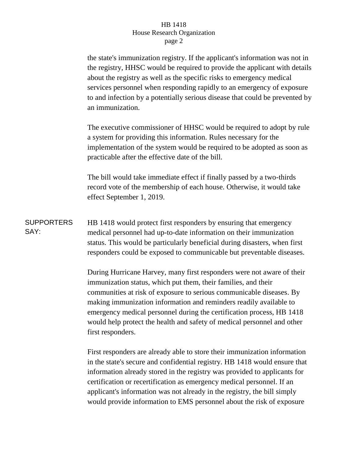## HB 1418 House Research Organization page 2

the state's immunization registry. If the applicant's information was not in the registry, HHSC would be required to provide the applicant with details about the registry as well as the specific risks to emergency medical services personnel when responding rapidly to an emergency of exposure to and infection by a potentially serious disease that could be prevented by an immunization.

The executive commissioner of HHSC would be required to adopt by rule a system for providing this information. Rules necessary for the implementation of the system would be required to be adopted as soon as practicable after the effective date of the bill.

The bill would take immediate effect if finally passed by a two-thirds record vote of the membership of each house. Otherwise, it would take effect September 1, 2019.

**SUPPORTERS** SAY: HB 1418 would protect first responders by ensuring that emergency medical personnel had up-to-date information on their immunization status. This would be particularly beneficial during disasters, when first responders could be exposed to communicable but preventable diseases.

> During Hurricane Harvey, many first responders were not aware of their immunization status, which put them, their families, and their communities at risk of exposure to serious communicable diseases. By making immunization information and reminders readily available to emergency medical personnel during the certification process, HB 1418 would help protect the health and safety of medical personnel and other first responders.

> First responders are already able to store their immunization information in the state's secure and confidential registry. HB 1418 would ensure that information already stored in the registry was provided to applicants for certification or recertification as emergency medical personnel. If an applicant's information was not already in the registry, the bill simply would provide information to EMS personnel about the risk of exposure